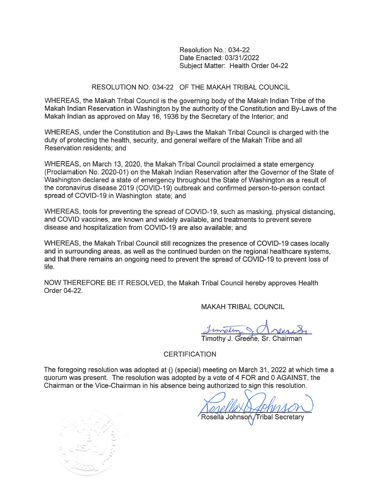Resolution No.: 034-22 Date Enacted: 03/31/2022 Subject Matter: Health Order 04-22

### RESOLUTION NO. 034-22 OF THE MAKAH TRIBAL COUNCIL

WHEREAS, the Makah Tribal Council is the governing body of the Makah Indian Tribe of the Makah Indian Reservation in Washington by the authority of the Constitution and By-Laws of the Makah Indian as approved on May 16, 1936 by the Secretary of the Interior; and

WHEREAS, under the Constitution and By-Laws the Makah Tribal Council is charged with the duty of protecting the health, security, and general welfare of the Makah Tribe and all Reservation residents: and

WHEREAS, on March 13, 2020, the Makah Tribal Council proclaimed a state emergency (Proclamation No. 2020-01) on the Makah Indian Reservation after the Governor of the State of Washington declared a state of emergency throughout the State of Washington as a result of the coronavirus disease 2019 (COVID-19) outbreak and confirmed person-to-person contact spread of COVID-19 in Washington state; and

WHEREAS, tools for preventing the spread of COVID-19, such as masking, physical distancing, and COVID vaccines, are known and widely available, and treatments to prevent severe disease and hospitalization from COVID-19 are also available; and

WHEREAS, the Makah Tribal Council still recognizes the presence of COVID-19 cases locally and in surrounding areas, as well as the continued burden on the regional healthcare systems, and that there remains an ongoing need to prevent the spread of COVID-19 to prevent loss of life

NOW THEREFORE BE IT RESOLVED, the Makah Tribal Council hereby approves Health Order 04-22.

**MAKAH TRIBAL COUNCIL** 

Timothy J. Greene, Sr. Chairman

### **CERTIFICATION**

The foregoing resolution was adopted at () (special) meeting on March 31, 2022 at which time a quorum was present. The resolution was adopted by a vote of 4 FOR and 0 AGAINST, the Chairman or the Vice-Chairman in his absence being authorized to sign this resolution.

Rosella Johnson, Tribal Secretary

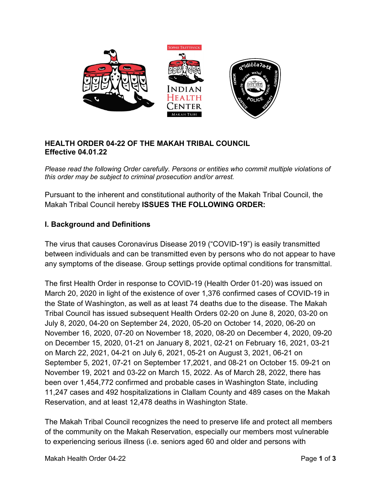

### **HEALTH ORDER 04-22 OF THE MAKAH TRIBAL COUNCIL Effective 04.01.22**

*Please read the following Order carefully. Persons or entities who commit multiple violations of this order may be subject to criminal prosecution and/or arrest.* 

Pursuant to the inherent and constitutional authority of the Makah Tribal Council, the Makah Tribal Council hereby **ISSUES THE FOLLOWING ORDER:** 

# **I. Background and Definitions**

The virus that causes Coronavirus Disease 2019 ("COVID-19") is easily transmitted between individuals and can be transmitted even by persons who do not appear to have any symptoms of the disease. Group settings provide optimal conditions for transmittal.

The first Health Order in response to COVID-19 (Health Order 01-20) was issued on March 20, 2020 in light of the existence of over 1,376 confirmed cases of COVID-19 in the State of Washington, as well as at least 74 deaths due to the disease. The Makah Tribal Council has issued subsequent Health Orders 02-20 on June 8, 2020, 03-20 on July 8, 2020, 04-20 on September 24, 2020, 05-20 on October 14, 2020, 06-20 on November 16, 2020, 07-20 on November 18, 2020, 08-20 on December 4, 2020, 09-20 on December 15, 2020, 01-21 on January 8, 2021, 02-21 on February 16, 2021, 03-21 on March 22, 2021, 04-21 on July 6, 2021, 05-21 on August 3, 2021, 06-21 on September 5, 2021, 07-21 on September 17,2021, and 08-21 on October 15. 09-21 on November 19, 2021 and 03-22 on March 15, 2022. As of March 28, 2022, there has been over 1,454,772 confirmed and probable cases in Washington State, including 11,247 cases and 492 hospitalizations in Clallam County and 489 cases on the Makah Reservation, and at least 12,478 deaths in Washington State.

The Makah Tribal Council recognizes the need to preserve life and protect all members of the community on the Makah Reservation, especially our members most vulnerable to experiencing serious illness (i.e. seniors aged 60 and older and persons with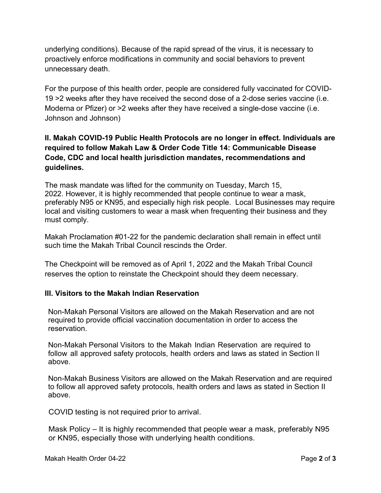underlying conditions). Because of the rapid spread of the virus, it is necessary to proactively enforce modifications in community and social behaviors to prevent unnecessary death.

For the purpose of this health order, people are considered fully vaccinated for COVID-19 >2 weeks after they have received the second dose of a 2-dose series vaccine (i.e. Moderna or Pfizer) or >2 weeks after they have received a single-dose vaccine (i.e. Johnson and Johnson)

# **II. Makah COVID-19 Public Health Protocols are no longer in effect. Individuals are required to follow Makah Law & Order Code Title 14: Communicable Disease Code, CDC and local health jurisdiction mandates, recommendations and guidelines.**

The mask mandate was lifted for the community on Tuesday, March 15, 2022. However, it is highly recommended that people continue to wear a mask, preferably N95 or KN95, and especially high risk people. Local Businesses may require local and visiting customers to wear a mask when frequenting their business and they must comply.

Makah Proclamation #01-22 for the pandemic declaration shall remain in effect until such time the Makah Tribal Council rescinds the Order.

The Checkpoint will be removed as of April 1, 2022 and the Makah Tribal Council reserves the option to reinstate the Checkpoint should they deem necessary.

## **III. Visitors to the Makah Indian Reservation**

Non-Makah Personal Visitors are allowed on the Makah Reservation and are not required to provide official vaccination documentation in order to access the reservation.

Non-Makah Personal Visitors to the Makah Indian Reservation are required to follow all approved safety protocols, health orders and laws as stated in Section II above.

Non-Makah Business Visitors are allowed on the Makah Reservation and are required to follow all approved safety protocols, health orders and laws as stated in Section II above.

COVID testing is not required prior to arrival.

Mask Policy – It is highly recommended that people wear a mask, preferably N95 or KN95, especially those with underlying health conditions.